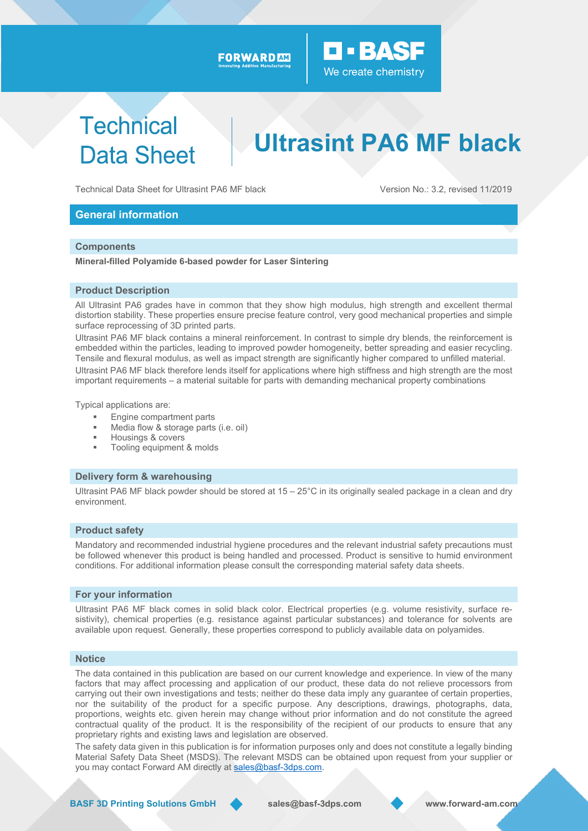#### FORWARD AM



## **Technical Data Sheet**

# **Ultrasint PA6 MF black**

Technical Data Sheet for Ultrasint PA6 MF black Version No.: 3.2, revised 11/2019

#### **General information**

#### **Components**

**Mineral-filled Polyamide 6-based powder for Laser Sintering** 

#### **Product Description**

All Ultrasint PA6 grades have in common that they show high modulus, high strength and excellent thermal distortion stability. These properties ensure precise feature control, very good mechanical properties and simple surface reprocessing of 3D printed parts.

Ultrasint PA6 MF black contains a mineral reinforcement. In contrast to simple dry blends, the reinforcement is embedded within the particles, leading to improved powder homogeneity, better spreading and easier recycling. Tensile and flexural modulus, as well as impact strength are significantly higher compared to unfilled material. Ultrasint PA6 MF black therefore lends itself for applications where high stiffness and high strength are the most

important requirements – a material suitable for parts with demanding mechanical property combinations

Typical applications are:

- **Engine compartment parts**
- Media flow & storage parts (i.e. oil)
- Housings & covers
- Tooling equipment & molds

#### **Delivery form & warehousing**

Ultrasint PA6 MF black powder should be stored at 15 – 25°C in its originally sealed package in a clean and dry environment.

#### **Product safety**

Mandatory and recommended industrial hygiene procedures and the relevant industrial safety precautions must be followed whenever this product is being handled and processed. Product is sensitive to humid environment conditions. For additional information please consult the corresponding material safety data sheets.

#### **For your information**

Ultrasint PA6 MF black comes in solid black color. Electrical properties (e.g. volume resistivity, surface resistivity), chemical properties (e.g. resistance against particular substances) and tolerance for solvents are available upon request. Generally, these properties correspond to publicly available data on polyamides.

#### **Notice**

The data contained in this publication are based on our current knowledge and experience. In view of the many factors that may affect processing and application of our product, these data do not relieve processors from carrying out their own investigations and tests; neither do these data imply any guarantee of certain properties, nor the suitability of the product for a specific purpose. Any descriptions, drawings, photographs, data, proportions, weights etc. given herein may change without prior information and do not constitute the agreed contractual quality of the product. It is the responsibility of the recipient of our products to ensure that any proprietary rights and existing laws and legislation are observed.

The safety data given in this publication is for information purposes only and does not constitute a legally binding Material Safety Data Sheet (MSDS). The relevant MSDS can be obtained upon request from your supplier or you may contact Forward AM directly at sales@basf-3dps.com.

**BASF 3D Printing Solutions GmbH sales@basf-3dps.com www.forward-am.com**